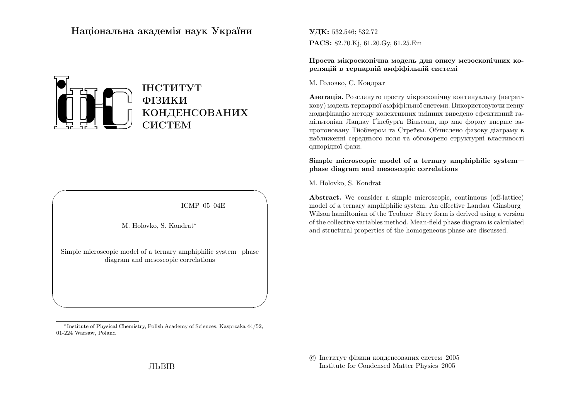# Нацiональна академiя наук України



ICMP–05–04E

✩

 $\overline{\phantom{a}}$ 

M. Holovko, S. Kondrat∗

 $\sqrt{2}$ 

 $\setminus$ 

Simple microscopic model of <sup>a</sup> ternary amphiphilic system—phasediagram and mesoscopic correlations

**УДК:** 532.546; 532.72 PACS: 82.70.Kj, 61.20.Gy, 61.25.Em

Проста мiкроскопiчна модель для опису мезоскопiчних кореляцiй <sup>в</sup> тернарнiй амфiфiльнiй системi

М. Головко, С. Кондрат

**Анотація.** Розглянуто просту мікроскопічну континуальну (неграткову) модель тернарно<sup>ї</sup> амфiфiльної системи. Використовуючи певну модифiкацiю методу колективних змiнних виведено ефективний гамiльтонiан Ландау–Ґiнсбурґа–Вiльсона, що має форму вперше запропоновану Тйобнером та Стрейєм. Обчислено фазову дiаграму <sup>в</sup> наближеннi середнього поля та обговорено структурн<sup>i</sup> властивостi однорiдної фази.

Simple microscopic model of <sup>a</sup> ternary amphiphilic system<sup>p</sup>hase diagram and mesoscopic correlations

M. Holovko, S. Kondrat

Abstract. We consider <sup>a</sup> simple microscopic, continuous (off-lattice) model of <sup>a</sup> ternary amphiphilic system. An effective Landau–Ginsburg– Wilson hamiltonian of the Teubner–Strey form is derived using <sup>a</sup> version of the collective variables method. Mean-field <sup>p</sup>hase diagram is calculatedand structural properties of the homogeneous <sup>p</sup>hase are discussed.

 c Iнститут фiзики конденсованих систем <sup>2005</sup>Institute for Condensed Matter Physics <sup>2005</sup>

<sup>∗</sup>Institute of Physical Chemistry, Polish Academy of Sciences, Kasprzaka 44/52, 01-224 Warsaw, Poland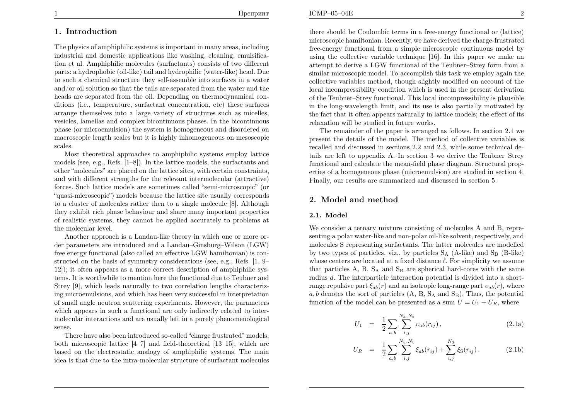# 1. Introduction

The <sup>p</sup>hysics of amphiphilic systems is important in many areas, including industrial and domestic applications like washing, cleaning, emulsification et al. Amphiphilic molecules (surfactants) consists of two different parts: <sup>a</sup> hydrophobic (oil-like) tail and hydrophilic (water-like) head. Due to such <sup>a</sup> chemical structure they self-assemble into surfaces in <sup>a</sup> water and/or oil solution so that the tails are separated from the water and the heads are separated from the oil. Depending on thermodynamical conditions (i.e., temperature, surfactant concentration, etc) these surfaces arrange themselves into <sup>a</sup> large variety of structures such as micelles, vesicles, lamellas and complex bicontinuous <sup>p</sup>hases. In the bicontinuous <sup>p</sup>hase (or microemulsion) the system is homogeneous and disordered on macroscopic length scales but it is highly inhomogeneous on mesoscopic scales.

 Most theoretical approaches to amphiphilic systems employ lattice models (see, e.g., Refs. [1–8]). In the lattice models, the surfactants and other "molecules" are <sup>p</sup>laced on the lattice sites, with certain constraints, and with different strengths for the relevant intermolecular (attractive) forces. Such lattice models are sometimes called "semi-microscopic" (or "quasi-microscopic") models because the lattice site usually corresponds to <sup>a</sup> cluster of molecules rather then to <sup>a</sup> single molecule [8]. Although they exhibit rich <sup>p</sup>hase behaviour and share many important properties of realistic systems, they cannot be applied accurately to problems atthe molecular level.

Another approac<sup>h</sup> is <sup>a</sup> Landau-like theory in which one or more order parameters are introduced and <sup>a</sup> Landau–Ginsburg–Wilson (LGW) free energy functional (also called an effective LGW hamiltonian) is constructed on the basis of symmetry considerations (see, e.g., Refs. [1, 9– 12]); it often appears as <sup>a</sup> more correct description of amphiphilic systems. It is worthwhile to mention here the functional due to Teubner and Strey [9], which leads naturally to two correlation lengths characterizing microemulsions, and which has been very successful in interpretation of small angle neutron scattering experiments. However, the parameters which appears in such <sup>a</sup> functional are only indirectly related to intermolecular interactions and are usually left in <sup>a</sup> purely <sup>p</sup>henomenological sense.

 There have also been introduced so-called "charge frustrated" models, both microscopic lattice [4–7] and field-theoretical [13–15], which are based on the electrostatic analogy of amphiphilic systems. The mainidea is that due to the intra-molecular structure of surfactant molecules

there should be Coulombic terms in <sup>a</sup> free-energy functional or (lattice) microscopic hamiltonian. Recently, we have derived the charge-frustrated free-energy functional from <sup>a</sup> simple microscopic continuous model by using the collective variable technique [16]. In this paper we make anattempt to derive a LGW functional of the Teubner–Strey form from a<br>rivilence processes we del Te assemblished to the teacher we deres with the similar microscopic model. To accomplish this task we employ again the collective variables method, though slightly modified on account of the local incompressibility condition which is used in the present derivation of the Teubner–Strey functional. This local incompressibility is <sup>p</sup>lausible in the long-wavelength limit, and its use is also partially motivated by the fact that it often appears naturally in lattice models; the effect of itsrelaxation will be studied in future works.

The remainder of the paper is arranged as follows. In section 2.1 we present the details of the model. The method of collective variables is recalled and discussed in sections 2.2 and 2.3, while some technical details are left to appendix A. In section <sup>3</sup> we derive the Teubner–Strey functional and calculate the mean-field <sup>p</sup>hase diagram. Structural properties of <sup>a</sup> homogeneous <sup>p</sup>hase (microemulsion) are studied in section 4. Finally, our results are summarized and discussed in section 5.

# 2. Model and method

#### 2.1. Model

We consider a ternary mixture consisting of molecules A and B, repre senting <sup>a</sup> polar water-like and non-polar oil-like solvent, respectively, and molecules <sup>S</sup> representing surfactants. The latter molecules are modelled by two types of particles, viz., by particles  $S_A$  (A-like) and  $S_B$  (B-like) whose centers are located at a fixed distance  $\ell$ . For simplicity we assume that particles A, B,  $S_A$  and  $S_B$  are spherical hard-cores with the same radius  $d$ . The interparticle interaction potential is divided into a shortrange repulsive part  $\xi_{ab}(r)$  and an isotropic long-range part  $v_{ab}(r)$ , where  $a, b$  denotes the sort of particles  $(A, B, S_A \text{ and } S_B)$ . Thus, the potential function of the model can be presented as a sum  $U=U_1 + U_R$ , where

$$
U_1 = \frac{1}{2} \sum_{a,b} \sum_{i,j}^{N_a, N_b} v_{ab}(r_{ij}), \qquad (2.1a)
$$

$$
U_R = \frac{1}{2} \sum_{a,b} \sum_{i,j}^{N_a, N_b} \xi_{ab}(r_{ij}) + \sum_{i,j}^{N_S} \xi_{S}(r_{ij}). \qquad (2.1b)
$$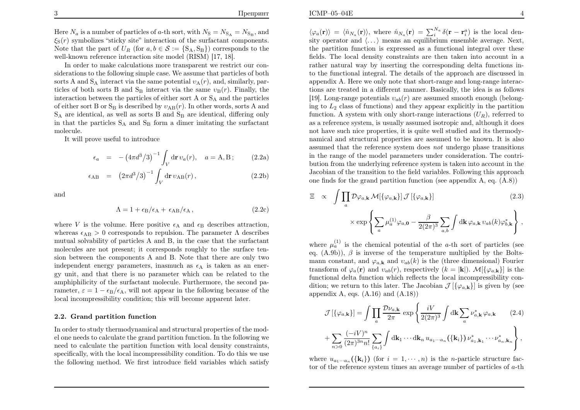ICMP–05–04E

Here  $N_a$  is a number of particles of a-th sort, with  $N_S = N_{S_A} = N_{S_B}$ , and  $\xi_{\rm S}(r)$  symbolizes "sticky site" interaction of the surfactant components. Note that the part of  $U_R$  (for  $a, b \in S := \{S_A, S_B\}$ ) corresponds to the well-known reference interaction site model (RISM) [17, 18].

In order to make calculations more transparent we restrict our considerations to the following simple case. We assume that particles of bothsorts A and  $S_A$  interact via the same potential  $v_A(r)$ , and, similarly, particles of both sorts B and  $S_B$  interact via the same  $v_B(r)$ . Finally, the interaction between the particles of either sort A or  $S_A$  and the particles of either sort B or  $S_B$  is described by  $v_{AB}(r)$ . In other words, sorts A and  $S_A$  are identical, as well as sorts B and  $S_B$  are identical, differing only in that the particles  $S_A$  and  $S_B$  form a dimer imitating the surfactant molecule.

It will prove useful to introduce

$$
\epsilon_a = - (4\pi d^3/3)^{-1} \int_V d\mathbf{r} \, v_a(r), \quad a = A, B \, ; \qquad (2.2a)
$$

$$
\epsilon_{AB} = (2\pi d^3/3)^{-1} \int_V d\mathbf{r} \, v_{AB}(r) , \qquad (2.2b)
$$

and

$$
\Lambda = 1 + \epsilon_{\rm B}/\epsilon_{\rm A} + \epsilon_{\rm AB}/\epsilon_{\rm A},\tag{2.2c}
$$

where V is the volume. Here positive  $\epsilon_A$  and  $\epsilon_B$  describes attraction, whereas  $\epsilon_{AB} > 0$  corresponds to repulsion. The parameter  $\Lambda$  describes mutual solvability of particles A and B, in the case that the surfactant molecules are not present; it corresponds roughly to the surface tension between the components A and B. Note that there are only two independent energy parameters, inasmuch as  $\epsilon_A$  is taken as an energy unit, and that there is no parameter which can be related to the amphiphilicity of the surfactant molecule. Furthermore, the second parameter,  $\varepsilon = 1 - \epsilon_B/\epsilon_A$ , will not appear in the following because of the local incompressibility condition; this will become apparent later.

#### 2.2. Grand partition function

In order to study thermodynamical and structural properties of the model one needs to calculate the grand partition function. In the following we need to calculate the partition function with local density constraints, specifically, with the local incompressibility condition. To do this we usethe following method. We first introduce field variables which satisfy

 $\langle \varphi_a(\mathbf{r}) \rangle = \langle \hat{n}_{N_a}(\mathbf{r}) \rangle$ , where  $\hat{n}_{N_a}(\mathbf{r}) = \sum_i^{N_a} \delta(\mathbf{r} - \mathbf{r}_i^a)$  is the local density operator and  $\langle \dots \rangle$  means an equilibrium ensemble average. Next, the partition function is expressed as <sup>a</sup> functional integral over these fields. The local density constraints are then taken into account in <sup>a</sup> rather natural way by inserting the corresponding delta functions into the functional integral. The details of the approac<sup>h</sup> are discussed in appendix A. Here we only note that short-range and long-range interactions are treated in <sup>a</sup> different manner. Basically, the idea is as follows[19]. Long-range potentials  $v_{ab}(r)$  are assumed smooth enough (belonging to  $L_2$  class of functions) and they appear explicitly in the partition function. A system with only short-range interactions  $(U_R)$ , referred to as <sup>a</sup> reference system, is usually assumed isotropic and, although it does not have such nice properties, it is quite well studied and its thermodynamical and structural properties are assumed to be known. It is alsoassumed that the reference system does  $not$  undergo phase transitions in the range of the model parameters under consideration. The contribution from the underlying reference system is taken into account in the Jacobian of the transition to the field variables. Following this approac<sup>h</sup>one finds for the grand partition function (see appendix A, eq. (A.8))

$$
\Xi \propto \int \prod_{a} \mathcal{D}\varphi_{a,\mathbf{k}} \mathcal{M}[\{\varphi_{a,\mathbf{k}}\}] \mathcal{J}[\{\varphi_{a,\mathbf{k}}\}]
$$
\n
$$
\times \exp \left\{ \sum_{a} \mu_a^{(1)} \varphi_{a,0} - \frac{\beta}{2(2\pi)^3} \sum_{a,b} \int \mathrm{d}\mathbf{k} \,\varphi_{a,\mathbf{k}} \, v_{ab}(k) \varphi_{b,\mathbf{k}}^* \right\},
$$
\n(2.3)

where  $\mu_a^{(1)}$  is the chemical potential of the *a*-th sort of particles (see eq.  $(A.9b)$ ,  $\beta$  is inverse of the temperature multiplied by the Boltsmann constant, and  $\varphi_{a,k}$  and  $v_{ab}(k)$  is the (three dimensional) Fourier transform of  $\varphi_a(\mathbf{r})$  and  $v_{ab}(r)$ , respectively  $(k = |\mathbf{k}|)$ .  $\mathcal{M}[\{\varphi_{a,\mathbf{k}}\}]$  is the functional delta function which reflects the local incompressibility condition; we return to this later. The Jacobian  $\mathcal{J}[\{\varphi_{a,\mathbf{k}}\}]$  is given by (see appendix A, eqs.  $(A.16)$  and  $(A.18)$ 

$$
\mathcal{J}\left[\{\varphi_{a,\mathbf{k}}\}\right] = \int \prod_{a} \frac{\mathcal{D}\nu_{a,\mathbf{k}}}{2\pi} \exp\left\{\frac{iV}{2(2\pi)^3} \int \mathrm{d}\mathbf{k} \sum_{a} \nu_{a,\mathbf{k}}^* \varphi_{a,\mathbf{k}} \right. \tag{2.4}
$$
\n
$$
+ \sum_{n>0} \frac{(-iV)^n}{(2\pi)^{3n}n!} \sum_{\{a_i\}} \int \mathrm{d}\mathbf{k}_1 \cdots \mathrm{d}\mathbf{k}_n \, u_{a_1 \cdots a_n}(\{\mathbf{k}_i\}) \, \nu_{a_1,\mathbf{k}_1}^* \cdots \nu_{a_n,\mathbf{k}_n}^* \right\},
$$

where  $u_{a_1\cdots a_n}(\{\mathbf{k}_i\})$  (for  $i = 1, \cdots, n$ ) is the *n*-particle structure fac-tor of the reference system times an average number of particles of a-th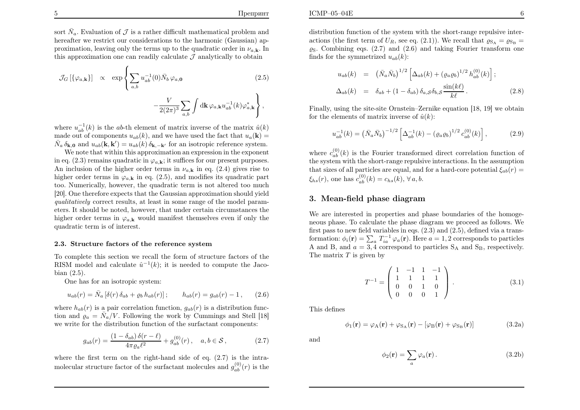sort  $\bar{N}_a$ . Evaluation of  $\mathcal J$  is a rather difficult mathematical problem and hereafter we restrict our considerations to the harmonic (Gaussian) approximation, leaving only the terms up to the quadratic order in  $\nu_{a,\mathbf{k}}$ . In this approximation one can readily calculate  $J$  analytically to obtain

$$
\mathcal{J}_G\left[\{\varphi_{a,\mathbf{k}}\}\right] \propto \exp\left\{\sum_{a,b} u_{ab}^{-1}(0)\bar{N}_b \varphi_{a,0} \right\} - \frac{V}{2(2\pi)^3} \sum_{a,b} \int \mathrm{d}\mathbf{k} \,\varphi_{a,\mathbf{k}} u_{ab}^{-1}(k) \varphi_{a,\mathbf{k}}^*\right\},\tag{2.5}
$$

where  $u_{ab}^{-1}(k)$  is the ab-th element of matrix inverse of the matrix  $\hat{u}(k)$ made out of components  $u_{ab}(k)$ , and we have used the fact that  $u_a(\mathbf{k}) =$  $\bar{N}_a \, \delta_{\mathbf{k},\mathbf{0}}$  and  $u_{ab}(\mathbf{k},\mathbf{k}') = u_{ab}(k) \, \delta_{\mathbf{k},-\mathbf{k}'}$  for an isotropic reference system.

 We note that within this approximation an expression in the exponentin eq. (2.3) remains quadratic in  $\varphi_{a,\mathbf{k}}$ ; it suffices for our present purposes. An inclusion of the higher order terms in  $\nu_{a,k}$  in eq. (2.4) gives rise to higher order terms in  $\varphi_{a,k}$  in eq. (2.5), and modifies its quadratic part too. Numerically, however, the quadratic term is not altered too much [20]. One therefore expects that the Gaussian approximation should <sup>y</sup>ield qualitatively correct results, at least in some range of the model parameters. It should be noted, however, that under certain circumstances thehigher order terms in  $\varphi_{a,k}$  would manifest themselves even if only the quadratic term is of interest.

#### 2.3. Structure factors of the reference system

 To complete this section we recall the form of structure factors of theRISM model and calculate  $\hat{u}^{-1}(k)$ ; it is needed to compute the Jacobian (2.5).

One has for an isotropic system:

$$
u_{ab}(r) = \bar{N}_a [\delta(r) \,\delta_{ab} + \varrho_b \, h_{ab}(r)]; \qquad h_{ab}(r) = g_{ab}(r) - 1 \,, \qquad (2.6)
$$

where  $h_{ab}(r)$  is a pair correlation function,  $g_{ab}(r)$  is a distribution function and  $\rho_a = \bar{N}_a/V$ . Following the work by Cummings and Stell [18] we write for the distribution function of the surfactant components:

$$
g_{ab}(r) = \frac{(1 - \delta_{ab})\,\delta(r - \ell)}{4\pi\varrho_a \ell^2} + g_{ab}^{(0)}(r) \,, \quad a, b \in \mathcal{S} \,, \tag{2.7}
$$

where the first term on the right-hand side of eq.  $(2.7)$  is the intramolecular structure factor of the surfactant molecules and  $g_{ab}^{(0)}(r)$  is the distribution function of the system with the short-range repulsive interactions (the first term of  $U_R$ , see eq. (2.1)). We recall that  $\varrho_{\rm SA} = \varrho_{\rm SB} =$  $\varrho_{\rm S}$ . Combining eqs. (2.7) and (2.6) and taking Fourier transform one finds for the symmetrized  $u_{ab}(k)$ :

$$
u_{ab}(k) = (\bar{N}_a \bar{N}_b)^{1/2} \left[ \Delta_{ab}(k) + (\varrho_a \varrho_b)^{1/2} h_{ab}^{(0)}(k) \right];
$$
  

$$
\Delta_{ab}(k) = \delta_{ab} + (1 - \delta_{ab}) \delta_{a,S} \delta_{b,S} \frac{\sin(k\ell)}{k\ell}.
$$
 (2.8)

Finally, using the site-site Ornstein–Zernike equation [18, 19] we obtainfor the elements of matrix inverse of  $\hat{u}(k)$ :

$$
u_{ab}^{-1}(k) = \left(\bar{N}_a \bar{N}_b\right)^{-1/2} \left[\Delta_{ab}^{-1}(k) - \left(\varrho_a \varrho_b\right)^{1/2} c_{ab}^{(0)}(k)\right],\tag{2.9}
$$

where  $c_{ab}^{(0)}(k)$  is the Fourier transformed direct correlation function of the system with the short-range repulsive interactions. In the assumption that sizes of all particles are equal, and for a hard-core potential  $\xi_{ab}(r)$  =  $\xi_{hs}(r)$ , one has  $c_{ab}^{(0)}(k) = c_{hs}(k)$ ,  $\forall a, b$ .

#### 3. Mean-field <sup>p</sup>hase diagram

We are interested in properties and <sup>p</sup>hase boundaries of the homogeneous <sup>p</sup>hase. To calculate the <sup>p</sup>hase diagram we proceed as follows. We first pass to new field variables in eqs. (2.3) and (2.5), defined via <sup>a</sup> transformation:  $\phi_i(\mathbf{r}) = \sum_a T_{ia}^{-1} \varphi_a(\mathbf{r})$ . Here  $a = 1, 2$  corresponds to particles A and B, and  $a = 3, 4$  correspond to particles S<sub>A</sub> and S<sub>B</sub>, respectively. The matrix  $T$  is given by

$$
T^{-1} = \left(\begin{array}{rrrr} 1 & -1 & 1 & -1 \\ 1 & 1 & 1 & 1 \\ 0 & 0 & 1 & 0 \\ 0 & 0 & 0 & 1 \end{array}\right). \tag{3.1}
$$

This defines

$$
\phi_1(\mathbf{r}) = \varphi_A(\mathbf{r}) + \varphi_{S_A}(\mathbf{r}) - [\varphi_B(\mathbf{r}) + \varphi_{S_B}(\mathbf{r})] \tag{3.2a}
$$

and

$$
\phi_2(\mathbf{r}) = \sum_a \varphi_a(\mathbf{r}). \tag{3.2b}
$$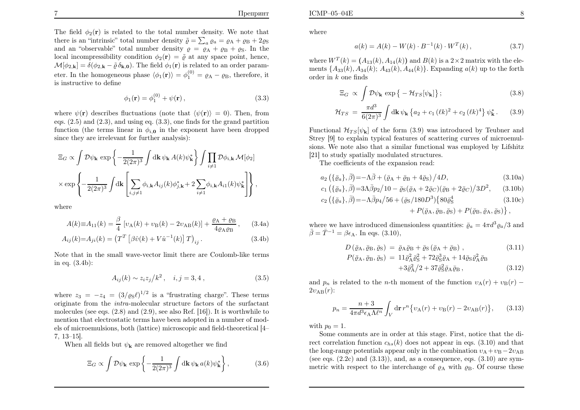The field  $\phi_2(\mathbf{r})$  is related to the total number density. We note that there is an "intrinsic" total number density  $\tilde{\varrho} = \sum_a \varrho_a = \varrho_A + \varrho_B + 2\varrho_S$ and an "observable" total number density  $\rho = \rho_A + \rho_B + \rho_S$ . In the local incompressibility condition  $\phi_2(\mathbf{r}) = \tilde{\varrho}$  at any space point, hence,  $\mathcal{M}[\phi_{2,\mathbf{k}}] = \delta(\phi_{2,\mathbf{k}} - \tilde{\varrho} \delta_{\mathbf{k},\mathbf{0}})$ . The field  $\phi_1(\mathbf{r})$  is related to an order parameter. In the homogeneous phase  $\langle \phi_1(\mathbf{r}) \rangle = \phi_1^{(0)} = \varrho_A - \varrho_B$ , therefore, it is instructive to define

$$
\phi_1(\mathbf{r}) = \phi_1^{(0)} + \psi(\mathbf{r}), \qquad (3.3)
$$

where  $\psi(\mathbf{r})$  describes fluctuations (note that  $\langle \psi(\mathbf{r}) \rangle = 0$ ). Then, from eqs. (2.5) and (2.3), and using eq. (3.3), one finds for the grand partitionfunction (the terms linear in  $\phi_{i,0}$  in the exponent have been dropped since they are irrelevant for further analysis):

$$
\Xi_G \propto \int \mathcal{D}\psi_{\mathbf{k}} \exp\left\{-\frac{1}{2(2\pi)^3} \int d\mathbf{k} \psi_{\mathbf{k}} A(k) \psi_{\mathbf{k}}^*\right\} \int \prod_{i\neq 1} \mathcal{D}\phi_{i,\mathbf{k}} \mathcal{M}[\phi_2]
$$

$$
\times \exp\left\{-\frac{1}{2(2\pi)^3} \int d\mathbf{k} \left[\sum_{i,j\neq 1} \phi_{i,\mathbf{k}} A_{ij}(k) \phi_{j,\mathbf{k}}^* + 2 \sum_{i\neq 1} \phi_{i,\mathbf{k}} A_{i1}(k) \psi_{\mathbf{k}}^*\right]\right\},
$$

where

$$
A(k) \equiv A_{11}(k) = \frac{\beta}{4} \left[ \nu_A(k) + \nu_B(k) - 2\nu_{AB}(k) \right] + \frac{\varrho_A + \varrho_B}{4\varrho_A \varrho_B}, \quad (3.4a)
$$

$$
A_{ij}(k) = A_{ji}(k) = (T^T [\beta \hat{v}(k) + V \hat{u}^{-1}(k)] T)_{ij}.
$$
 (3.4b)

Note that in the small wave-vector limit there are Coulomb-like termsin eq. (3.4b):

$$
A_{ij}(k) \sim z_i z_j / k^2 \,, \quad i, j = 3, 4 \,, \tag{3.5}
$$

where  $z_3 = -z_4 = (3/\varrho_S \ell)^{1/2}$  is a "frustrating charge". These terms originate from the intra-molecular structure factors of the surfactant molecules (see eqs. (2.8) and (2.9), see also Ref. [16]). It is worthwhile to mention that electrostatic terms have been adopted in <sup>a</sup> number of models of microemulsions, both (lattice) microscopic and field-theoretical [4–7, 13–15].

When all fields but  $\psi_{\mathbf{k}}$  are removed altogether we find

$$
\Xi_G \propto \int \mathcal{D}\psi_\mathbf{k} \exp\left\{-\frac{1}{2(2\pi)^3} \int \mathrm{d}\mathbf{k} \,\psi_\mathbf{k} \, a(k) \psi_\mathbf{k}^* \right\},\tag{3.6}
$$

where

$$
a(k) = A(k) - W(k) \cdot B^{-1}(k) \cdot W^{T}(k), \qquad (3.7)
$$

where  $W^T(k) = (A_{13}(k), A_{14}(k))$  and  $B(k)$  is a  $2 \times 2$  matrix with the ele- $\mathbf{S}$ ments  $\{A_{33}(k), A_{34}(k), A_{43}(k), A_{44}(k)\}$ . Expanding  $a(k)$  up to the forth order in  $k$  one finds

$$
\Xi_G \propto \int \mathcal{D}\psi_\mathbf{k} \exp\left\{-\mathcal{H}_{TS}[\psi_\mathbf{k}]\right\};\tag{3.8}
$$

$$
\mathcal{H}_{TS} = \frac{\pi d^3}{6(2\pi)^3} \int \mathrm{d}\mathbf{k} \, \psi_{\mathbf{k}} \left\{ a_2 + c_1 \, (\ell k)^2 + c_2 \, (\ell k)^4 \right\} \psi_{\mathbf{k}}^* \,. \tag{3.9}
$$

Functional  $\mathcal{H}_{TS}[\psi_{\mathbf{k}}]$  of the form (3.9) was introduced by Teubner and Strey [9] to explain typical features of scattering curves of microemulsions. We note also that <sup>a</sup> similar functional was employed by Lifshitz [21] to study spatially modulated structures.

The coefficients of the expansion read:

$$
a_2\left(\{\bar{\varrho}_a\},\bar{\beta}\right) = -\Lambda\bar{\beta} + \left(\bar{\varrho}_A + \bar{\varrho}_B + 4\bar{\varrho}_S\right)/4D,\tag{3.10a}
$$

$$
c_1\left(\{\bar{\varrho}_a\},\bar{\beta}\right) = 3\Lambda\bar{\beta}p_2/10 - \bar{\varrho}_S(\bar{\varrho}_A + 2\bar{\varrho}_C)(\bar{\varrho}_B + 2\bar{\varrho}_C)/3D^2,\qquad(3.10b)
$$

$$
c_2 \left( \{ \bar{\varrho}_a \}, \bar{\beta} \right) = -\Lambda \bar{\beta} p_4 / 56 + (\bar{\varrho}_S / 180D^3) \{ 80 \bar{\varrho}_S^4 + P(\bar{\varrho}_A, \bar{\varrho}_B, \bar{\varrho}_S) + P(\bar{\varrho}_B, \bar{\varrho}_A, \bar{\varrho}_S) \},
$$
\n(3.10c)

where we have introduced dimensionless quantities:  $\bar{\varrho}_a = 4\pi d^3 \varrho_a/3$  and  $\bar{\beta} = \bar{T}^{-1} = \beta \epsilon_A$ . In eqs. (3.10),

$$
D\left(\bar{\varrho}_{A}, \bar{\varrho}_{B}, \bar{\varrho}_{S}\right) = \bar{\varrho}_{A}\bar{\varrho}_{B} + \bar{\varrho}_{S}\left(\bar{\varrho}_{A} + \bar{\varrho}_{B}\right),\tag{3.11}
$$
\n
$$
P(\bar{\varrho}_{A}, \bar{\varrho}_{B}, \bar{\varrho}_{S}) = 11\bar{\varrho}_{A}^{2}\bar{\varrho}_{S}^{2} + 72\bar{\varrho}_{S}^{3}\bar{\varrho}_{A} + 14\bar{\varrho}_{S}\bar{\varrho}_{A}^{2}\bar{\varrho}_{B}
$$
\n
$$
+3\bar{\varrho}_{A}^{2}/2 + 37\bar{\varrho}_{S}^{2}\bar{\varrho}_{A}\bar{\varrho}_{B},\tag{3.12}
$$

and  $p_n$  is related to the *n*-th moment of the function  $v_A(r) + v_B(r) 2v_{\rm AB}(r)$ :

$$
p_n = \frac{n+3}{4\pi d^3 \epsilon_A \Lambda \ell^n} \int_V dr \, r^n \{ v_A(r) + v_B(r) - 2v_{AB}(r) \}, \qquad (3.13)
$$

with  $p_0 = 1$ .

 Some comments are in order at this stage. First, notice that the direct correlation function  $c_{hs}(k)$  does not appear in eqs. (3.10) and that the long-range potentials appear only in the combination  $v_A + v_B - 2v_{AB}$ (see eqs.  $(2.2c)$  and  $(3.13)$ ), and, as a consequence, eqs.  $(3.10)$  are symmetric with respect to the interchange of  $\varrho_A$  with  $\varrho_B$ . Of course these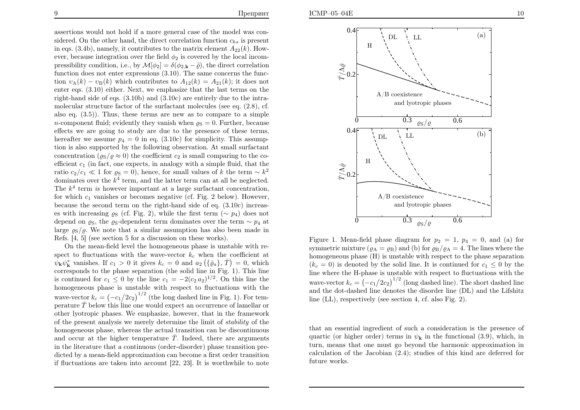assertions would not hold if <sup>a</sup> more genera<sup>l</sup> case of the model was considered. On the other hand, the direct correlation function  $c_{hs}$  is present in eqs. (3.4b), namely, it contributes to the matrix element  $A_{22}(k)$ . However, because integration over the field  $\phi_2$  is covered by the local incompressibility condition, i.e., by  $\mathcal{M}[\phi_2] = \delta(\phi_{2,\mathbf{k}} - \tilde{\varrho})$ , the direct correlation function does not enter expressions (3.10). The same concerns the function  $v_{\rm A}(k) - v_{\rm B}(k)$  which contributes to  $A_{12}(k) = A_{21}(k)$ ; it does not enter eqs. (3.10) either. Next, we emphasize that the last terms on the right-hand side of eqs. (3.10b) and (3.10c) are entirely due to the intramolecular structure factor of the surfactant molecules (see eq. (2.8), cf. also eq.  $(3.5)$ ). Thus, these terms are new as to compare to a simple n-component fluid; evidently they vanish when  $\varrho_S = 0$ . Further, because effects we are going to study are due to the presence of these terms, hereafter we assume  $p_4 = 0$  in eq. (3.10c) for simplicity. This assump tion is also supported by the following observation. At small surfactantconcentration  $(g_S/g \approx 0)$  the coefficient  $c_2$  is small comparing to the co-<br>coefficient cost factories are concerted in another with a simula fluid that the efficient  $c_1$  (in fact, one expects, in analogy with a simple fluid, that the ratio  $c_2/c_1 \ll 1$  for  $\varrho_S = 0$ ), hence, for small values of k the term  $\sim k^2$ <br>dominates over the  $k^4$  term, and the latter term can at all be neglected dominates over the  $k^4$  term, and the latter term can at all be neglected. The  $k^4$  term is however important at a large surfactant concentration, for which  $c_1$  vanishes or becomes negative (cf. Fig. 2 below). However, because the second term on the right-hand side of eq. (3.10c) increases with increasing  $\varrho_S$  (cf. Fig. 2), while the first term  $(\sim p_4)$  does not depend on  $\varrho_S$ , the  $\varrho_S$ -dependent term dominates over the term ~  $p_4$  at large  $\varrho_{\rm S}/\varrho$ . We note that a similar assumption has also been made in Refs. [4, 5] (see section <sup>5</sup> for <sup>a</sup> discussion on these works).

On the mean-field level the homogeneous <sup>p</sup>hase is unstable with respect to fluctuations with the wave-vector  $k_c$  when the coefficient at  $\psi_{\mathbf{k}} \psi_{\mathbf{k}}^*$  vanishes. If  $c_1 > 0$  it gives  $k_c = 0$  and  $a_2 \left( \{ \bar{\varrho}_a \} , \bar{T} \right) = 0$ , which corresponds to the <sup>p</sup>hase separation (the solid line in Fig. 1). This lineis continued for  $c_1 \leq 0$  by the line  $c_1 = -2(c_2 a_2)^{1/2}$ . On this line the homogeneous <sup>p</sup>hase is unstable with respect to fluctuations with thewave-vector  $k_c = \left(-c_1/2c_2\right)^{1/2}$  (the long dashed line in Fig. 1). For temperature  $\bar{T}$  below this line one would expect an occurrence of lamellar or other lyotropic <sup>p</sup>hases. We emphasize, however, that in the framework of the present analysis we merely determine the limit of stability of the homogeneous <sup>p</sup>hase, whereas the actual transition can be discontinuousand occur at the higher temperature  $\overline{T}$ . Indeed, there are arguments in the literature that <sup>a</sup> continuous (order-disorder) <sup>p</sup>hase transition predicted by <sup>a</sup> mean-field approximation can become <sup>a</sup> first order transitionif fluctuations are taken into account [22, 23]. It is worthwhile to note



Figure 1. Mean-field phase diagram for  $p_2 = 1$ ,  $p_4 = 0$ , and (a) for symmetric mixture ( $\varrho_A = \varrho_B$ ) and (b) for  $\varrho_B / \varrho_A = 4$ . The lines where the homogeneous <sup>p</sup>hase (<sup>H</sup>) is unstable with respect to the <sup>p</sup>hase separation $(k_c = 0)$  is denoted by the solid line. It is continued for  $c_1 \leq 0$  by the line where the<sup>H</sup>-phase is unstable with respect to fluctuations with thewave-vector  $k_c = \left(-\frac{c_1}{2c_2}\right)^{1/2}$  (long dashed line). The short dashed line and the dot-dashed line denotes the disorder line (DL) and the Lifshitzline (LL), respectively (see section 4, cf. also Fig. 2).

that an essential ingredient of such <sup>a</sup> consideration is the presence of quartic (or higher order) terms in  $\psi_{\mathbf{k}}$  in the functional (3.9), which, in turn, means that one must go beyond the harmonic approximation in calculation of the Jacobian (2.4); studies of this kind are deferred forfuture works.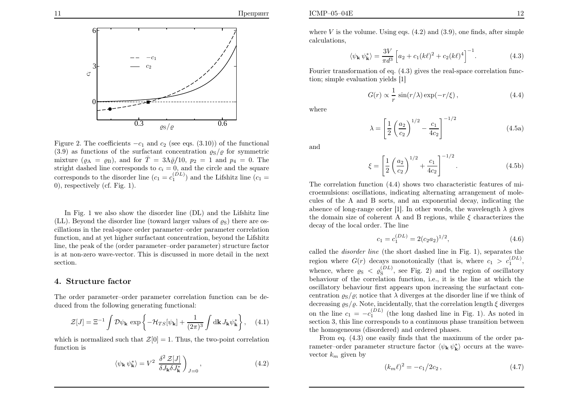where  $V$  is the volume. Using eqs.  $(4.2)$  and  $(3.9)$ , one finds, after simple calculations,

$$
\langle \psi_{\mathbf{k}} \psi_{\mathbf{k}}^* \rangle = \frac{3V}{\pi d^3} \left[ a_2 + c_1 (k \ell)^2 + c_2 (k \ell)^4 \right]^{-1}.
$$
 (4.3)

Fourier transformation of eq. (4.3) <sup>g</sup>ives the real-space correlation function; simple evaluation <sup>y</sup>ields [1]

$$
G(r) \propto \frac{1}{r} \sin(r/\lambda) \exp(-r/\xi), \qquad (4.4)
$$

where

$$
\lambda = \left[\frac{1}{2}\left(\frac{a_2}{c_2}\right)^{1/2} - \frac{c_1}{4c_2}\right]^{-1/2}
$$
(4.5a)

and

$$
\xi = \left[\frac{1}{2}\left(\frac{a_2}{c_2}\right)^{1/2} + \frac{c_1}{4c_2}\right]^{-1/2}.\tag{4.5b}
$$

The correlation function (4.4) shows two characteristic features of microemulsions: oscillations, indicating alternating arrangement of molecules of theA and B sorts, and an exponential decay, indicating the absence of long-range order [1]. In other words, the wavelength  $\lambda$  gives the domain size of coherent A and B regions, while  $\xi$  characterizes the decay of the local order. The line

$$
c_1 = c_1^{(DL)} = 2(c_2 a_2)^{1/2},\tag{4.6}
$$

called the *disorder line* (the short dashed line in Fig. 1), separates the region where  $G(r)$  decays monotonically (that is, where  $c_1 > c_1^{(DL)}$ , whence, where  $\varrho_{\rm S} < \varrho_{\rm S}^{(DL)}$ , see Fig. 2) and the region of oscillatory behaviour of the correlation function, i.e., it is the line at which the oscillatory behaviour first appears upon increasing the surfactant concentration  $\varrho_S/\varrho$ ; notice that  $\lambda$  diverges at the disorder line if we think of decreasing  $\varrho_S/\varrho$ . Note, incidentally, that the correlation length  $\xi$  diverges on the line  $c_1 = -c_1^{(DL)}$  (the long dashed line in Fig. 1). As noted in section 3, this line corresponds to <sup>a</sup> continuous <sup>p</sup>hase transition betweenthe homogeneous (disordered) and ordered <sup>p</sup>hases.

From eq. (4.3) one easily finds that the maximum of the order pa rameter–order parameter structure factor  $\langle \psi_{\mathbf{k}} | \psi_{\mathbf{k}}^* \rangle$  occurs at the wavevector  $k_m$  given by

$$
(k_m \ell)^2 = -c_1/2c_2, \qquad (4.7)
$$

Figure 2. The coefficients 
$$
-c_1
$$
 and  $c_2$  (see eqs. (3.10)) of the functional (3.9) as functions of the surfactant concentration  $\rho_S/\rho$  for symmetric mixture ( $\rho_A = \rho_B$ ), and for  $\overline{T} = 3\Lambda\overline{\rho}/10$ ,  $p_2 = 1$  and  $p_4 = 0$ . The straight dashed line corresponds to  $c_i = 0$ , and the circle and the square corresponds to the disorder line ( $c_1 = c_1^{(DL)}$ ) and the Lifshitz line ( $c_1 = 0$ ), respectively (cf. Fig. 1).

In Fig. <sup>1</sup> we also show the disorder line (DL) and the Lifshitz line(LL). Beyond the disorder line (toward larger values of  $\varrho_{\rm S}$ ) there are oscillations in the real-space order parameter–order parameter correlation function, and at yet higher surfactant concentration, beyond the Lifshitz line, the pea<sup>k</sup> of the (order parameter–order parameter) structure factor is at non-zero wave-vector. This is discussed in more detail in the nextsection.

# 4. Structure factor

The order parameter–order parameter correlation function can be deduced from the following generating functional:

$$
\mathcal{Z}[J] = \Xi^{-1} \int \mathcal{D}\psi_{\mathbf{k}} \exp\left\{-\mathcal{H}_{TS}[\psi_{\mathbf{k}}] + \frac{1}{(2\pi)^3} \int d\mathbf{k} J_{\mathbf{k}} \psi_{\mathbf{k}}^* \right\}, \quad (4.1)
$$

which is normalized such that  $\mathcal{Z}[0] = 1$ . Thus, the two-point correlation function is

$$
\langle \psi_{\mathbf{k}} \psi_{\mathbf{k}}^* \rangle = V^2 \left. \frac{\delta^2 \mathcal{Z}[J]}{\delta J_{\mathbf{k}} \delta J_{\mathbf{k}}^*} \right)_{J=0},\tag{4.2}
$$

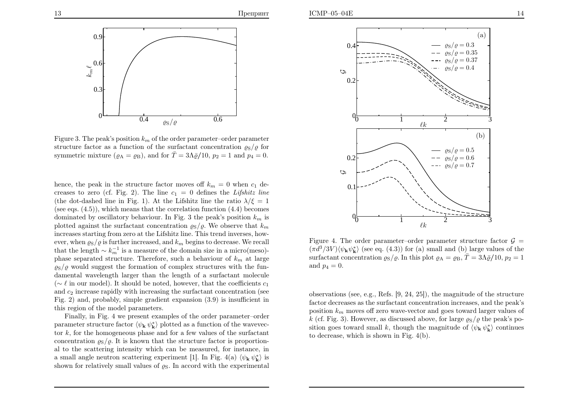

Figure 3. The peak's position  $k_m$  of the order parameter–order parameter<br>structure fector as a function of the surfactory concentration a Le for structure factor as a function of the surfactant concentration  $\varrho_{\rm S}/\varrho$  for symmetric mixture ( $\varrho_A = \varrho_B$ ), and for  $\overline{T} = 3\Lambda \overline{\varrho}/10$ ,  $p_2 = 1$  and  $p_4 = 0$ .

hence, the peak in the structure factor moves off  $k_m = 0$  when  $c_1$  de-<br>execute  $z$  and  $(c_1 - c_2)$ . The line  $c_1 = 0$  defines the Lifebitz line creases to zero (cf. Fig. 2). The line  $c_1 = 0$  defines the Lifshitz line (the dot-dashed line in Fig. 1). At the Lifshitz line the ratio  $\lambda/\xi = 1$ (see eqs.  $(4.5)$ ), which means that the correlation function  $(4.4)$  becomes dominated by oscillatory behaviour. In Fig. 3 the peak's position  $k_m$  is plotted against the surfactant concentration  $\varrho_{\rm S}/\varrho$ . We observe that  $k_m$  increases starting from zero at the Lifshitz line. This trend inverses, however, when  $\varrho_S/\varrho$  is further increased, and  $k_m$  begins to decrease. We recall that the length  $\sim k_m^{-1}$  is a measure of the domain size in a micro(meso)-<br>phase soperated structure. Therefore, such a behaviour of  $k_m$  at large phase separated structure. Therefore, such a behaviour of  $k_m$  at large  $\varrho_{\rm S}/\varrho$  would suggest the formation of complex structures with the fundamental wavelength larger than the length of <sup>a</sup> surfactant molecule(∼  $\ell$  in our model). It should be noted, however, that the coefficients  $c_1$ and  $c_2$  increase rapidly with increasing the surfactant concentration (see Fig. 2) and, probably, simple gradient expansion (3.9) is insufficient inthis region of the model parameters.

Finally, in Fig. <sup>4</sup> we present examples of the order parameter–orderparameter structure factor  $\langle \psi_{\mathbf{k}} | \psi_{\mathbf{k}}^* \rangle$  plotted as a function of the wavevector  $k$ , for the homogeneous phase and for a few values of the surfactant concentration  $\varrho_{\rm S}/\varrho$ . It is known that the structure factor is proportional to the scattering intensity which can be measured, for instance, ina small angle neutron scattering experiment [1]. In Fig. 4(a)  $\langle \psi_{\mathbf{k}} \psi_{\mathbf{k}}^* \rangle$  is shown for relatively small values of  $\varrho_S$ . In accord with the experimental



Figure 4. The order parameter–order parameter structure factor  $\mathcal{G} =$  $(\pi d^3/3V) \langle \psi_{\mathbf{k}} \psi_{\mathbf{k}}^* \rangle$  (see eq. (4.3)) for (a) small and (b) large values of the surfactant concentration  $\varrho_S/\varrho$ . In this plot  $\varrho_A = \varrho_B$ ,  $\overline{T} = 3\Lambda \overline{\varrho}/10$ ,  $p_2 = 1$ and  $p_4 = 0$ .

observations (see, e.g., Refs. [9, 24, 25]), the magnitude of the structure factor decreases as the surfactant concentration increases, and the peak'sposition  $k_m$  moves off zero wave-vector and goes toward larger values of  $k_c$  (of Fig. 2). However, so discussed above, for large  $c_c$  (other packing  $\alpha$ ) k (cf. Fig. 3). However, as discussed above, for large  $\varrho_{\rm S}/\varrho$  the peak's position goes toward small k, though the magnitude of  $\langle \psi_{\mathbf{k}} \psi_{\mathbf{k}}^* \rangle$  continues to decrease, which is shown in Fig. 4(b).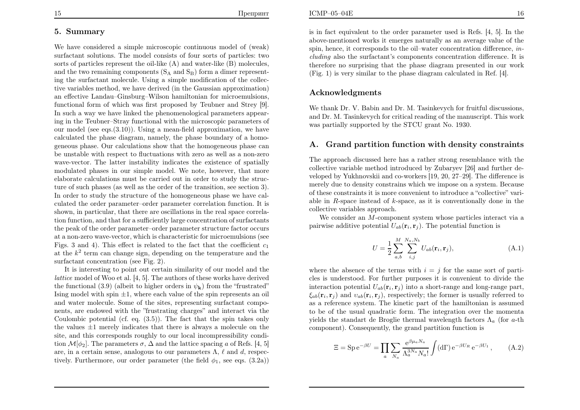We have considered <sup>a</sup> simple microscopic continuous model of (weak) surfactant solutions. The model consists of four sorts of particles: two sorts of particles represent the oil-like (<sup>A</sup>) and water-like (<sup>B</sup>) molecules, and the two remaining components  $(S_A \text{ and } S_B)$  form a dimer representing the surfactant molecule. Using <sup>a</sup> simple modification of the collective variables method, we have derived (in the Gaussian approximation) an effective Landau–Ginsburg–Wilson hamiltonian for microemulsions, functional form of which was first proposed by Teubner and Strey [9]. In such <sup>a</sup> way we have linked the <sup>p</sup>henomenological parameters appearing in the Teubner–Stray functional with the microscopic parameters of our model (see eqs.(3.10)). Using <sup>a</sup> mean-field approximation, we have calculated the <sup>p</sup>hase diagram, namely, the <sup>p</sup>hase boundary of <sup>a</sup> homogeneous <sup>p</sup>hase. Our calculations show that the homogeneous <sup>p</sup>hase can be unstable with respect to fluctuations with zero as well as <sup>a</sup> non-zero wave-vector. The latter instability indicates the existence of spatially modulated <sup>p</sup>hases in our simple model. We note, however, that more elaborate calculations must be carried out in order to study the structure of such <sup>p</sup>hases (as well as the order of the transition, see section 3). In order to study the structure of the homogeneous <sup>p</sup>hase we have calculated the order parameter–order parameter correlation function. It is shown, in particular, that there are oscillations in the real space correlation function, and that for <sup>a</sup> sufficiently large concentration of surfactants the pea<sup>k</sup> of the order parameter–order parameter structure factor occurs at <sup>a</sup> non-zero wave-vector, which is characteristic for microemulsions (seeFigs. 3 and 4). This effect is related to the fact that the coefficient  $c_1$ at the  $k^2$  term can change sign, depending on the temperature and the surfactant concentration (see Fig. 2).

It is interesting to point out certain similarity of our model and the lattice model of Woo et al. [4, 5]. The authors of these works have derivedthe functional (3.9) (albeit to higher orders in  $\psi_{\mathbf{k}}$ ) from the "frustrated" Ising model with spin  $\pm 1$ , where each value of the spin represents an oil and water molecule. Some of the sites, representing surfactant components, are endowed with the "frustrating charges" and interact via the Coulombic potential (cf. eq. (3.5)). The fact that the spin takes onlythe values  $\pm 1$  merely indicates that there is always a molecule on the site, and this corresponds roughly to our local incompressibility condition  $\mathcal{M}[\phi_2]$ . The parameters  $\sigma$ ,  $\Delta$  and the lattice spacing a of Refs. [4, 5] are, in a certain sense, analogous to our parameters  $\Lambda$ ,  $\ell$  and  $d$ , respectively. Furthermore, our order parameter (the field  $\phi_1$ , see eqs. (3.2a))

is in fact equivalent to the order parameter used is Refs. [4, 5]. In the above-mentioned works it emerges naturally as an average value of thespin, hence, it corresponds to the oil–water concentration difference, *in*cluding also the surfactant's components concentration difference. It is therefore no surprising that the <sup>p</sup>hase diagram presented in our work (Fig. 1) is very similar to the <sup>p</sup>hase diagram calculated in Ref. [4].

## Acknowledgments

We thank Dr. V. Babin and Dr. M. Tasinkevych for fruitful discussions, and Dr. M. Tasinkevych for critical reading of the manuscript. This workwas partially supported by the STCU grant No. 1930.

# A. Grand partition function with density constraints

The approac<sup>h</sup> discussed here has <sup>a</sup> rather strong resemblance with the collective variable method introduced by Zubaryev [26] and further developed by Yukhnovskii and co-workers [19, 20, 27–29]. The difference is merely due to density constrains which we impose on <sup>a</sup> system. Because of these constraints it is more convenient to introduce <sup>a</sup> "collective" variable in  $R$ -space instead of  $k$ -space, as it is conventionally done in the collective variables approach.

We consider an  $M$ -component system whose particles interact via a pairwise additive potential  $U_{ab}(\mathbf{r}_i, \mathbf{r}_j)$ . The potential function is

$$
U = \frac{1}{2} \sum_{a,b}^{M} \sum_{i,j}^{N_a, N_b} U_{ab}(\mathbf{r}_i, \mathbf{r}_j),
$$
 (A.1)

where the absence of the terms with  $i = j$  for the same sort of particles is understood. For further purposes it is convenient to divide the interaction potential  $U_{ab}(\mathbf{r}_i, \mathbf{r}_j)$  into a short-range and long-range part,  $\xi_{ab}(\mathbf{r}_i, \mathbf{r}_j)$  and  $v_{ab}(\mathbf{r}_i, \mathbf{r}_j)$ , respectively; the former is usually referred to as <sup>a</sup> reference system. The kinetic part of the hamiltonian is assumed to be of the usual quadratic form. The integration over the momentayields the standart de Broglie thermal wavelength factors  $\Lambda_a$  (for a-th component). Consequently, the grand partition function is

$$
\Xi = \operatorname{Sp} e^{-\beta U} = \prod_{a} \sum_{N_a} \frac{e^{\beta \mu_a N_a}}{\Lambda_a^{3N_a} N_a!} \int (\mathrm{d}\Gamma) e^{-\beta U_R} e^{-\beta U_1}, \qquad (A.2)
$$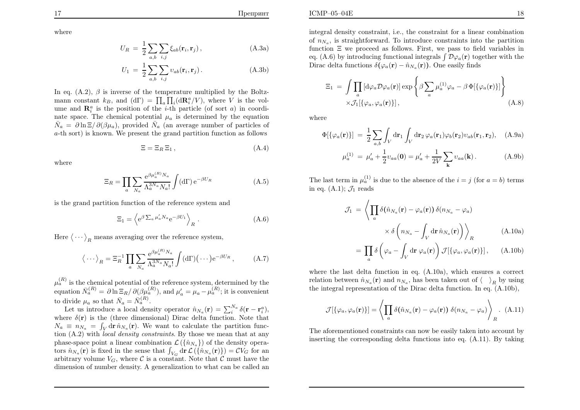ICMP–05–04E

17

$$
U_R = \frac{1}{2} \sum_{a,b} \sum_{i,j} \xi_{ab}(\mathbf{r}_i, \mathbf{r}_j), \qquad (A.3a)
$$

$$
U_1 = \frac{1}{2} \sum_{a,b} \sum_{i,j} \upsilon_{ab}(\mathbf{r}_i, \mathbf{r}_j).
$$
 (A.3b)

In eq. (A.2),  $\beta$  is inverse of the temperature multiplied by the Boltzmann constant  $k_B$ , and  $(d\Gamma) = \prod_a \prod_i (d\mathbf{R}_i^a / V)$ , where V is the volume and  $\mathbf{R}_i^a$  is the position of the *i*-th particle (of sort *a*) in coordinate space. The chemical potential  $\mu_a$  is determined by the equation  $\bar{N}_a = \partial \ln \Xi / \partial (\beta \mu_a)$ , provided  $\bar{N}_a$  (an average number of particles of <sup>a</sup>-th sort) is known. We present the grand partition function as follows

$$
\Xi = \Xi_R \, \Xi_1 \,, \tag{A.4}
$$

where

$$
\Xi_R = \prod_a \sum_{N_a} \frac{\mathrm{e}^{\beta \mu_a^{(R)} N_a}}{\Lambda_a^{3N_a} N_a!} \int (\mathrm{d}\Gamma) \,\mathrm{e}^{-\beta U_R} \tag{A.5}
$$

is the grand partition function of the reference system and

$$
\Xi_1 = \left\langle e^{\beta \sum_a \mu'_a N_a} e^{-\beta U_1} \right\rangle_R. \tag{A.6}
$$

Here  $\langle \cdots \rangle_R$  means averaging over the reference system,

$$
\langle \cdots \rangle_R = \Xi_R^{-1} \prod_a \sum_{N_a} \frac{e^{\beta \mu_a^{(R)} N_a}}{\Lambda_a^{3N_a} N_a!} \int (\mathrm{d}\Gamma) (\cdots) e^{-\beta U_R} ,\qquad \text{(A.7)}
$$

 $\mu_a^{(R)}$  is the chemical potential of the reference system, determined by the equation  $\bar{N}_a^{(R)} = \partial \ln \Xi_R / \partial (\beta \mu_a^{(R)})$ , and  $\mu_a' = \mu_a - \mu_a^{(R)}$ ; it is convenient to divide  $\mu_a$  so that  $\bar{N}_a = \bar{N}_a^{(R)}$ 

Let us introduce a local density operator  $\hat{n}_{N_a}(\mathbf{r}) = \sum_{i=1}^{N_a} \delta(\mathbf{r} - \mathbf{r}_i^a)$ ,<br>Let us introduce a local density operator  $\hat{n}_{N_a}(\mathbf{r}) = \sum_{i=1}^{N_a} \delta(\mathbf{r} - \mathbf{r}_i^a)$ , where  $\delta(\mathbf{r})$  is the (three dimensional) Dirac delta function. Note that  $N_a \equiv n_{N_a} = \int_V d\mathbf{r} \,\hat{n}_{N_a}(\mathbf{r}).$  We want to calculate the partition func- tion (A.2) with local density constraints. By those we mean that at any phase-space point a linear combination  $\mathcal{L}(\{\hat{n}_{N_a}\})$  of the density operators  $\hat{n}_{N_a}(\mathbf{r})$  is fixed in the sense that  $\int_{V_G} d\mathbf{r} \mathcal{L}(\{\hat{n}_{N_a}(\mathbf{r})\}) = CV_G$  for an arbitrary volume  $V_G$ , where  $\mathcal C$  is a constant. Note that  $\mathcal C$  must have the dimension of number density. <sup>A</sup> generalization to what can be called an integral density constraint, i.e., the constraint for <sup>a</sup> linear combinationof  $n_{N_a}$ , is straightforward. To introduce constraints into the partition function  $\Xi$  we proceed as follows. First, we pass to field variables in eq. (A.6) by introducing functional integrals  $\int \mathcal{D}\varphi_a(\mathbf{r})$  together with the Dirac delta functions  $\delta(\varphi_a(\mathbf{r}) - \hat{n}_{N_a}(\mathbf{r}))$ . One easily finds

$$
\Xi_1 = \int \prod_a \left[ d\varphi_a \mathcal{D}\varphi_a(\mathbf{r}) \right] \exp \left\{ \beta \sum_a \mu_a^{(1)} \varphi_a - \beta \Phi[\{\varphi_a(\mathbf{r})\}] \right\}
$$
  
 
$$
\times \mathcal{J}_1[\{\varphi_a, \varphi_a(\mathbf{r})\}], \qquad (A.8)
$$

where

$$
\Phi[\{\varphi_a(\mathbf{r})\}] = \frac{1}{2} \sum_{a,b} \int_V d\mathbf{r}_1 \int_V d\mathbf{r}_2 \,\varphi_a(\mathbf{r}_1) \varphi_b(\mathbf{r}_2) v_{ab}(\mathbf{r}_1, \mathbf{r}_2), \quad \text{(A.9a)}
$$

$$
\mu_a^{(1)} = \mu_a' + \frac{1}{2} v_{aa}(0) = \mu_a' + \frac{1}{2V} \sum_{\mathbf{k}} v_{aa}(\mathbf{k}). \tag{A.9b}
$$

The last term in  $\mu_a^{(1)}$  is due to the absence of the  $i = j$  (for  $a = b$ ) terms in eq.  $(A.1)$ ;  $\mathcal{J}_1$  reads

$$
\mathcal{J}_1 = \left\langle \prod_a \delta(\hat{n}_{N_a}(\mathbf{r}) - \varphi_a(\mathbf{r})) \delta(n_{N_a} - \varphi_a) \times \delta \left( n_{N_a} - \int_V \mathrm{d}\mathbf{r} \,\hat{n}_{N_a}(\mathbf{r}) \right) \right\rangle_R \tag{A.10a}
$$

$$
= \prod_{a} \delta\left(\varphi_{a} - \int_{V} d\mathbf{r} \,\varphi_{a}(\mathbf{r})\right) \mathcal{J}[\{\varphi_{a}, \varphi_{a}(\mathbf{r})\}], \quad (A.10b)
$$

where the last delta function in eq. (A.10a), which ensures <sup>a</sup> correct relation between  $\hat{n}_{N_a}(\mathbf{r})$  and  $n_{N_a}$ , has been taken out of  $\langle \rangle_R$  by using<br>the integral perpenetation of the Dippe delta function. In eq. (A 10b) the integral representation of the Dirac delta function. In eq. (A.10b),

$$
\mathcal{J}[\{\varphi_a, \varphi_a(\mathbf{r})\}] = \left\langle \prod_a \delta(\hat{n}_{N_a}(\mathbf{r}) - \varphi_a(\mathbf{r})) \, \delta(n_{N_a} - \varphi_a) \right\rangle_R. \tag{A.11}
$$

The aforementioned constraints can now be easily taken into account byinserting the corresponding delta functions into eq. (A.11). By taking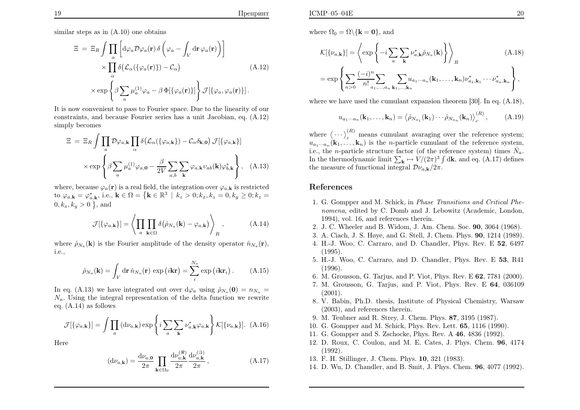similar steps as in (A.10) one obtains

$$
\Xi = \Xi_R \int \prod_a \left[ d\varphi_a \mathcal{D}\varphi_a(\mathbf{r}) \delta \left( \varphi_a - \int_V d\mathbf{r} \varphi_a(\mathbf{r}) \right) \right] \times \prod_\alpha \delta \left( \mathcal{L}_\alpha(\{\varphi_a(\mathbf{r})\}) - \mathcal{C}_\alpha \right) \tag{A.12}
$$
\n
$$
\times \exp \left\{ \beta \sum_a \mu_a^{(1)} \varphi_a - \beta \Phi[\{\varphi_a(\mathbf{r})\}] \right\} \mathcal{J}[\{\varphi_a, \varphi_a(\mathbf{r})\}].
$$

It is now convenient to pass to Fourier space. Due to the linearity of our constraints, and because Fourier series has <sup>a</sup> unit Jacobian, eq. (A.12)simply becomes

$$
\Xi = \Xi_R \int \prod_a \mathcal{D}\varphi_{a,\mathbf{k}} \prod_\alpha \delta(\mathcal{L}_\alpha(\{\varphi_{a,\mathbf{k}}\}) - \mathcal{C}_\alpha \delta_{\mathbf{k},\mathbf{0}}) \mathcal{J}[\{\varphi_{a,\mathbf{k}}\}]
$$

$$
\times \exp \left\{\beta \sum_a \mu_a^{(1)} \varphi_{a,\mathbf{0}} - \frac{\beta}{2V} \sum_{a,b} \sum_{\mathbf{k}} \varphi_{a,\mathbf{k}} v_{ab}(\mathbf{k}) \varphi_{b,\mathbf{k}}^* \right\}, \quad (A.13)
$$

where, because  $\varphi_a(\mathbf{r})$  is a real field, the integration over  $\varphi_{a,k}$  is restricted to  $\varphi_{a,k} = \varphi_{a,k}^*$ , i.e.,  $k \in \Omega = \left\{ k \in \mathbb{R}^3 \: \middle| \: k_z > 0; k_x, k_z = 0, k_y \ge 0; k_z = 0 \right\}$  $0, k_x, k_y > 0$  }, and

$$
\mathcal{J}[\{\varphi_{a,\mathbf{k}}\}] = \left\langle \prod_{a} \prod_{\mathbf{k} \in \Omega} \delta(\hat{\rho}_{N_a}(\mathbf{k}) - \varphi_{a,\mathbf{k}}) \right\rangle_R, \tag{A.14}
$$

where  $\hat{\rho}_{N_a}(\mathbf{k})$  is the Fourier amplitude of the density operator  $\hat{n}_{N_a}(\mathbf{r}),$ i.e.,

$$
\hat{\rho}_{N_a}(\mathbf{k}) = \int_V d\mathbf{r} \,\hat{n}_{N_a}(\mathbf{r}) \, \exp\left(i\mathbf{k}\mathbf{r}\right) = \sum_i^{N_a} \exp\left(i\mathbf{k}\mathbf{r}_i\right). \tag{A.15}
$$

In eq. (A.13) we have integrated out over  $d\varphi_a$  using  $\hat{\rho}_{N_a}(\mathbf{0}) = n_{N_a} =$  $N_a$ . Using the integral representation of the delta function we rewrite eq. (A.14) as follows

$$
\mathcal{J}[\{\varphi_{a,\mathbf{k}}\}] = \int \prod_a \left(\mathrm{d}\nu_{a,\mathbf{k}}\right) \exp\left\{i \sum_a \sum_{\mathbf{k}} \nu_{a,\mathbf{k}}^* \varphi_{a,\mathbf{k}}\right\} \mathcal{K}[\{\nu_{a,\mathbf{k}}\}]. \tag{A.16}
$$

Here

$$
(\mathrm{d}\nu_{a,\mathbf{k}}) = \frac{\mathrm{d}\nu_{a,\mathbf{0}}}{2\pi} \prod_{\mathbf{k}\in\Omega_0} \frac{\mathrm{d}\nu_{a,\mathbf{k}}^{(\Re)}}{2\pi} \frac{\mathrm{d}\nu_{a,\mathbf{k}}^{(\Im)}}{2\pi},\tag{A.17}
$$

$$
\mathcal{K}[\{\nu_{a,\mathbf{k}}\}] = \left\langle \exp\left\{-i\sum_{a}\sum_{\mathbf{k}}\nu_{a,\mathbf{k}}^{*}\hat{\rho}_{N_{a}}(\mathbf{k})\right\} \right\rangle_{R}
$$
\n(A.18)

$$
= \exp\left\{\sum_{n>0}\frac{(-i)^n}{n!}\sum_{a_1,\dots,a_n}\sum_{\mathbf{k}_1,\dots,\mathbf{k}_n}u_{a_1\cdots a_n}(\mathbf{k}_1,\dots,\mathbf{k}_n)\nu_{a_1,\mathbf{k}_1}^*\cdots\nu_{a_n,\mathbf{k}_n}^*\right\},\,
$$

where we have used the cumulant expansion theorem [30]. In eq.  $(A.18)$ ,

$$
u_{a_1\cdots a_n}(\mathbf{k}_1,\ldots,\mathbf{k}_n)=\left\langle \hat{\rho}_{N_{a_1}}(\mathbf{k}_1)\cdots\hat{\rho}_{N_{a_n}}(\mathbf{k}_n)\right\rangle_c^{(R)},\qquad(A.19)
$$

where  $\langle \cdots \rangle_c^{(R)}$  means cumulant avaraging over the reference system; where  $\langle \cdots \rangle_c$  ineans cumulant avaraging over the reference system,<br> $u_{a_1 \cdots a_n}(\mathbf{k}_1, \ldots, \mathbf{k}_n)$  is the *n*-particle cumulant of the reference system, i.e., the *n*-particle structure factor (of the reference system) times  $\bar{N}_a$ . In the thermodynamic limit  $\sum_{\mathbf{k}} \mapsto V/(2\pi)^3 \int d\mathbf{k}$ , and eq. (A.17) defines the measure of functional integral  $\mathcal{D}\nu_{a,\mathbf{k}}/2\pi$ .

## References

- 1. G. Gompper and M. Schick, in Phase Transitions and Critical Phenomena, edited by C. Domb and J. Lebowitz (Academic, London, 1994), vol. 16, and references therein.
- 2. J. C. Wheeler and B. Widom, J. Am. Chem. Soc. <sup>90</sup>, <sup>3064</sup> (1968).
- 3. A. Ciach, J. S. <sup>H</sup>øye, and G. Stell, J. Chem. Phys. <sup>90</sup>, <sup>1214</sup> (1989).
- 4. H.-J. Woo, C. Carraro, and D. Chandler, Phys. Rev. <sup>E</sup> <sup>52</sup>, <sup>6497</sup> (1995).
- 5. H.-J. Woo, C. Carraro, and D. Chandler, Phys. Rev. E **53**, R41 (1996).
- 6. M. Grousson, G. Tarjus, and P. Viot, Phys. Rev. <sup>E</sup> <sup>62</sup>, <sup>7781</sup> (2000).
- 7. M. Grousson, G. Tarjus, and P. Viot, Phys. Rev. <sup>E</sup> <sup>64</sup>, <sup>036109</sup> (2001).
- 8. V. Babin, Ph.D. thesis, Institute of Physical Chemistry, Warsaw(2003), and references therein.
- 9. M. Teubner and R. Strey, J. Chem. Phys. <sup>87</sup>, <sup>3195</sup> (1987).
- 10. G. Gompper and M. Schick, Phys. Rev. Lett. <sup>65</sup>, <sup>1116</sup> (1990).
- 11. G. Gompper and S. Zschocke, Phys. Rev. A  $46$ ,  $4836$  (1992).
- 12. D. Roux, C. Coulon, and M. E. Cates, J. Phys. Chem. <sup>96</sup>, <sup>4174</sup>(1992).
- 13. F. H. Stillinger, J. Chem. Phys. <sup>10</sup>, <sup>321</sup> (1983).
- 14. D. Wu, D. Chandler, and B. Smit, J. Phys. Chem. <sup>96</sup>, <sup>4077</sup> (1992).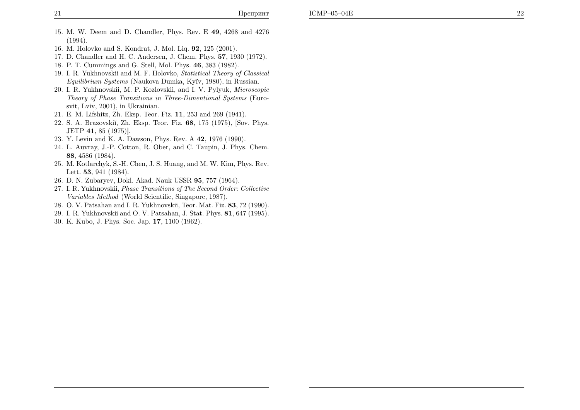- 15. M. W. Deem and D. Chandler, Phys. Rev. <sup>E</sup> <sup>49</sup>, <sup>4268</sup> and <sup>4276</sup> (1994).
- 16. M. Holovko and S. Kondrat, J. Mol. Liq. <sup>92</sup>, <sup>125</sup> (2001).
- 17. D. Chandler and H. C. Andersen, J. Chem. Phys. <sup>57</sup>, <sup>1930</sup> (1972).
- 18. P. T. Cummings and G. Stell, Mol. Phys. <sup>46</sup>, <sup>383</sup> (1982).
- 19. I. R. Yukhnovskii and M. F. Holovko, Statistical Theory of Classical  $Equilibrium\ Systems$  (Naukova Dumka, Kyïv, 1980), in Russian.
- 20. I. R. Yukhnovskii, M. P. Kozlovskii, and I. V. Pylyuk, Microscopic Theory of Phase Transitions in Three-Dimentional Systems (Eurosvit, Lviv, 2001), in Ukrainian.
- 21. E. M. Lifshitz, Zh. Eksp. Teor. Fiz. <sup>11</sup>, <sup>253</sup> and <sup>269</sup> (1941).
- 22. S. A. Brazovskiĭ, Zh. Eksp. Teor. Fiz. 68, 175 (1975), [Sov. Phys. JETP <sup>41</sup>, <sup>85</sup> (1975)].
- 23. Y. Levin and K. A. Dawson, Phys. Rev. A 42, 1976 (1990).
- 24. L. Auvray, J.-P. Cotton, R. Ober, and C. Taupin, J. Phys. Chem. <sup>88</sup>, <sup>4586</sup> (1984).
- 25. M. Kotlarchyk, S.-H. Chen, J. S. Huang, and M. W. Kim, Phys. Rev. Lett. **53**, 941 (1984).
- 26. D. N. Zubaryev, Dokl. Akad. Nauk USSR <sup>95</sup>, <sup>757</sup> (1964).
- 27. I. R. Yukhnovskii, Phase Transitions of The Second Order: CollectiveVariables Method (World Scientific, Singapore, 1987).
- 28. O. V. Patsahan and I. R. Yukhnovskii, Teor. Mat. Fiz. <sup>83</sup>, <sup>72</sup> (1990).
- 29. I. R. Yukhnovskii and O. V. Patsahan, J. Stat. Phys. <sup>81</sup>, <sup>647</sup> (1995).
- 30. K. Kubo, J. Phys. Soc. Jap. <sup>17</sup>, <sup>1100</sup> (1962).